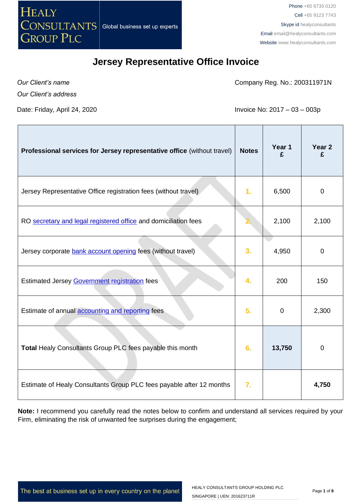

Phone +65 6735 0120 Cell +65 9123 7743 Skype id healyconsultants Email [email@healyconsultants.com](mailto:EMAIL@HEALYCONSULTANTS.COM) Website [www.healyconsultants.com](http://www.healyconsultants.com/)

### **Jersey Representative Office Invoice**

*Our Client's name*

Company Reg. No.: 200311971N

*Our Client's address*

Date: Friday, April 24, 2020 **Invoice No: 2017** – 03 – 003p

| Professional services for Jersey representative office (without travel) | <b>Notes</b>     | Year 1<br>£ | Year <sub>2</sub><br>£ |
|-------------------------------------------------------------------------|------------------|-------------|------------------------|
| Jersey Representative Office registration fees (without travel)         | 1.               | 6,500       | $\mathbf 0$            |
| RO secretary and legal registered office and domiciliation fees         |                  | 2,100       | 2,100                  |
| Jersey corporate bank account opening fees (without travel)             | 3.               | 4,950       | $\mathbf 0$            |
| Estimated Jersey Government registration fees                           | 4.               | 200         | 150                    |
| Estimate of annual <b>accounting and reporting</b> fees                 | 5.               | $\mathbf 0$ | 2,300                  |
| Total Healy Consultants Group PLC fees payable this month               | 6.               | 13,750      | $\mathbf 0$            |
| Estimate of Healy Consultants Group PLC fees payable after 12 months    | $\overline{7}$ . |             | 4,750                  |

**Note:** I recommend you carefully read the notes below to confirm and understand all services required by your Firm, eliminating the risk of unwanted fee surprises during the engagement;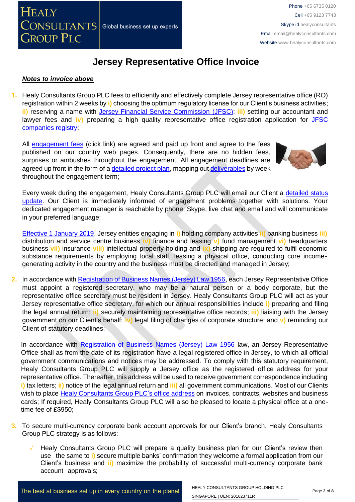

#### *Notes to invoice above*

**1.** Healy Consultants Group PLC fees to efficiently and effectively complete Jersey representative office (RO) registration within 2 weeks by **i)** choosing the optimum regulatory license for our Client's business activities; **ii)** reserving a name with [Jersey Financial Service Commission](http://www.jerseyfsc.org/registry/) (JFSC); **iii)** settling our accountant and lawyer fees and **iv)** preparing a high quality representative office registration application for [JFSC](http://www.jerseyfsc.org/registry/)  [companies registry;](http://www.jerseyfsc.org/registry/)

All [engagement fees](http://www.healyconsultants.com/company-registration-fees/) (click link) are agreed and paid up front and agree to the fees published on our country web pages. Consequently, there are no hidden fees, surprises or ambushes throughout the engagement. All engagement deadlines are agreed up front in the form of a [detailed project plan,](http://www.healyconsultants.com/index-important-links/example-project-plan/) mapping ou[t deliverables](http://www.healyconsultants.com/deliverables-to-our-clients/) by week throughout the engagement term;



Every week during the engagement, Healy Consultants Group PLC will email our Client a [detailed status](http://www.healyconsultants.com/index-important-links/weekly-engagement-status-email/)  [update.](http://www.healyconsultants.com/index-important-links/weekly-engagement-status-email/) Our Client is immediately informed of engagement problems together with solutions. Your dedicated engagement manager is reachable by phone, Skype, live chat and email and will communicate in your preferred language;

[Effective 1 January 2019,](https://www.gov.je/TaxesMoney/IncomeTax/Companies/Guidelines/Pages/EconomicSubstanceForCompanies.aspx) Jersey entities engaging in **i)** holding company activities **ii)** banking business **iii)** distribution and service centre business **iv)** finance and leasing **v)** fund management **vi)** headquarters business **vii)** insurance **viii)** intellectual property holding and **ix)** shipping are required to fulfil economic substance requirements by employing local staff, leasing a physical office, conducting core incomegenerating activity in the country and the business must be directed and managed in Jersey;

**2.** In accordance wit[h Registration of Business Names \(Jersey\) Law 1956,](https://www.jerseylaw.je/laws/revised/Pages/13.650.aspx) each Jersey Representative Office must appoint a registered secretary, who may be a natural person or a body corporate, but the representative office secretary must be resident in Jersey. Healy Consultants Group PLC will act as your Jersey representative office secretary, for which our annual responsibilities include **i)** preparing and filing the legal annual return; **ii)** securely maintaining representative office records; **iii)** liaising with the Jersey government on our Client's behalf; **iv)** legal filing of changes of corporate structure; and **v)** reminding our Client of statutory deadlines;

In accordance with [Registration of Business Names \(Jersey\) Law 1956](https://www.jerseylaw.je/laws/revised/Pages/13.650.aspx) law, an Jersey Representative Office shall as from the date of its registration have a legal registered office in Jersey, to which all official government communications and notices may be addressed. To comply with this statutory requirement, Healy Consultants Group PLC will supply a Jersey office as the registered office address for your representative office. Thereafter, this address will be used to receive government correspondence including **i)** tax letters; **ii)** notice of the legal annual return and **iii)** all government communications. Most of our Clients wish to place [Healy Consultants Group PLC's](http://www.healyconsultants.com/corporate-outsourcing-services/company-secretary-and-legal-registered-office/) office address on invoices, contracts, websites and business cards; If required, Healy Consultants Group PLC will also be pleased to locate a physical office at a onetime fee of £\$950;

- **3.** To secure multi-currency corporate bank account approvals for our Client's branch, Healy Consultants Group PLC strategy is as follows:
	- Healy Consultants Group PLC will prepare a quality business plan for our Client's review then use the same to **i)** secure multiple banks' confirmation they welcome a formal application from our Client's business and **ii)** maximize the probability of successful multi-currency corporate bank account approvals;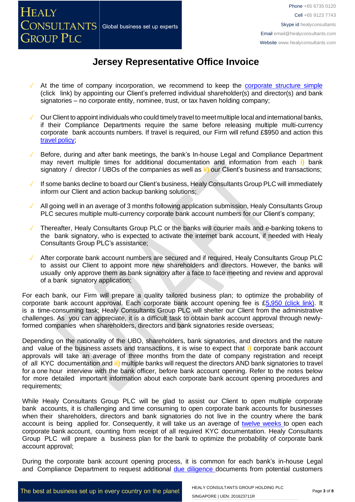- At the time of company incorporation, we recommend to keep the [corporate](https://www.healyconsultants.com/about-us/complex-client-engagements/simplify-business-setup/) structure simple (click link) by appointing our Client's preferred individual shareholder(s) and director(s) and bank signatories – no corporate entity, nominee, trust, or tax haven holding company;
- Our Client to appoint individuals who could timely travel to meet multiple local and international banks, if their Compliance Departments require the same before releasing multiple multi-currency corporate bank accounts numbers. If travel is required, our Firm will refund £\$950 and action this travel [policy;](https://www.healyconsultants.com/international-banking/corporate-accounts/meet-bank-officer/)
- Before, during and after bank meetings, the bank's In-house Legal and Compliance Department may revert multiple times for additional documentation and information from each **i)** bank signatory / director / UBOs of the companies as well as **ii)** our Client's business and transactions;
- If some banks decline to board our Client's business, Healy Consultants Group PLC will immediately inform our Client and action backup banking solutions;
- All going well in an average of 3 months following application submission, Healy Consultants Group PLC secures multiple multi-currency corporate bank account numbers for our Client's company;
- Thereafter, Healy Consultants Group PLC or the banks will courier mails and e-banking tokens to the bank signatory, who is expected to activate the internet bank account, if needed with Healy Consultants Group PLC's assistance;
- After corporate bank account numbers are secured and if required, Healy Consultants Group PLC to assist our Client to appoint more new shareholders and directors. However, the banks will usually only approve them as bank signatory after a face to face meeting and review and approval of a bank signatory application;

For each bank, our Firm will prepare a quality tailored business plan; to optimize the probability of corporate bank account approval. Each corporate bank account opening fee is [£5,950](https://www.healyconsultants.com/global-corporate-banking-for-resident-company/) (click link). It is a time-consuming task; Healy Consultants Group PLC will shelter our Client from the administrative challenges. As you can appreciate, it is a difficult task to obtain bank account approval through newlyformed companies when shareholders, directors and bank signatories reside overseas;

Depending on the nationality of the UBO, shareholders, bank signatories, and directors and the nature and value of the business assets and transactions, it is wise to expect that **i)** corporate bank account approvals will take an average of three months from the date of company registration and receipt of all KYC documentation and **ii)** multiple banks will request the directors AND bank signatories to travel for a one hour interview with the bank officer, before bank account opening. Refer to the notes below for more detailed important information about each corporate bank account opening procedures and requirements;

While Healy Consultants Group PLC will be glad to assist our Client to open multiple corporate bank accounts, it is challenging and time consuming to open corporate bank accounts for businesses when their shareholders, directors and bank signatories do not live in the country where the bank account is being applied for. Consequently, it will take us an average of twelve [weeks](http://www.healyconsultants.com/international-banking/bitcoin-business-bank-account/) to open each corporate bank account, counting from receipt of all required KYC documentation. Healy Consultants Group PLC will prepare a business plan for the bank to optimize the probability of corporate bank account approval;

During the corporate bank account opening process, it is common for each bank's in-house Legal and Compliance Department to request additional due [diligence](http://www.healyconsultants.com/due-diligence/) documents from potential customers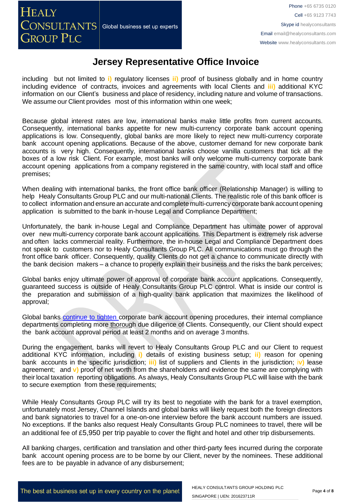including but not limited to **i)** regulatory licenses **ii)** proof of business globally and in home country including evidence of contracts, invoices and agreements with local Clients and **iii)** additional KYC information on our Client's business and place of residency, including nature and volume of transactions. We assume our Client provides most of this information within one week;

Because global interest rates are low, international banks make little profits from current accounts. Consequently, international banks appetite for new multi-currency corporate bank account opening applications is low. Consequently, global banks are more likely to reject new multi-currency corporate bank account opening applications. Because of the above, customer demand for new corporate bank accounts is very high. Consequently, international banks choose vanilla customers that tick all the boxes of a low risk Client. For example, most banks will only welcome multi-currency corporate bank account opening applications from a company registered in the same country, with local staff and office premises;

When dealing with international banks, the front office bank officer (Relationship Manager) is willing to help Healy Consultants Group PLC and our multi-national Clients. The realistic role of this bank officer is to collect information and ensure an accurate and complete multi-currency corporate bank account opening application is submitted to the bank in-house Legal and Compliance Department;

Unfortunately, the bank in-house Legal and Compliance Department has ultimate power of approval over new multi-currency corporate bank account applications. This Department is extremely risk adverse and often lacks commercial reality. Furthermore, the in-house Legal and Compliance Department does not speak to customers nor to Healy Consultants Group PLC. All communications must go through the front office bank officer. Consequently, quality Clients do not get a chance to communicate directly with the bank decision makers – a chance to properly explain their business and the risks the bank perceives;

Global banks enjoy ultimate power of approval of corporate bank account applications. Consequently, guaranteed success is outside of Healy Consultants Group PLC control. What is inside our control is the preparation and submission of a high-quality bank application that maximizes the likelihood of approval;

Global banks [continue](https://www.healyconsultants.com/international-banking/opening-corporate-bank-accounts/) to tighten corporate bank account opening procedures, their internal compliance departments completing more thorough due diligence of Clients. Consequently, our Client should expect the bank account approval period at least 2 months and on average 3 months.

During the engagement, banks will revert to Healy Consultants Group PLC and our Client to request additional KYC information, including **i)** details of existing business setup; **ii)** reason for opening bank accounts in the specific jurisdiction; **iii)** list of suppliers and Clients in the jurisdiction; i**v)** lease agreement; and **v)** proof of net worth from the shareholders and evidence the same are complying with their local taxation reporting obligations. As always, Healy Consultants Group PLC will liaise with the bank to secure exemption from these requirements;

While Healy Consultants Group PLC will try its best to negotiate with the bank for a travel exemption, unfortunately most Jersey, Channel Islands and global banks will likely request both the foreign directors and bank signatories to travel for a one-on-one interview before the bank account numbers are issued. No exceptions. If the banks also request Healy Consultants Group PLC nominees to travel, there will be an additional fee of £5,950 per trip payable to cover the flight and hotel and other trip disbursements.

All banking charges, certification and translation and other third-party fees incurred during the corporate bank account opening process are to be borne by our Client, never by the nominees. These additional fees are to be payable in advance of any disbursement;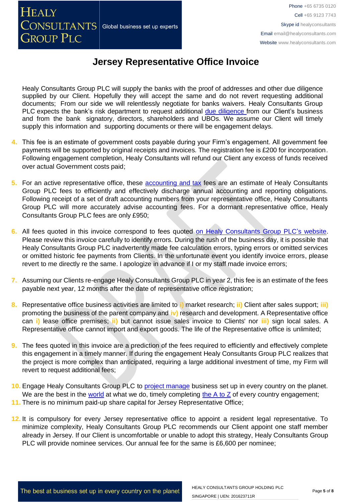Healy Consultants Group PLC will supply the banks with the proof of addresses and other due diligence supplied by our Client. Hopefully they will accept the same and do not revert requesting additional documents; From our side we will relentlessly negotiate for banks waivers. Healy Consultants Group PLC expects the bank's risk department to request additional due [diligence](http://www.healyconsultants.com/due-diligence/) from our Client's business and from the bank signatory, directors, shareholders and UBOs. We assume our Client will timely supply this information and supporting documents or there will be engagement delays.

- **4.** This fee is an estimate of government costs payable during your Firm's engagement. All government fee payments will be supported by original receipts and invoices. The registration fee is £200 for incorporation. Following engagement completion, Healy Consultants will refund our Client any excess of funds received over actual Government costs paid;
- **5.** For an active representative office, these [accounting and tax](http://www.healyconsultants.com/jersey-company-registration/accounting-legal/) fees are an estimate of Healy Consultants Group PLC fees to efficiently and effectively discharge annual accounting and reporting obligations. Following receipt of a set of draft accounting numbers from your representative office, Healy Consultants Group PLC will more accurately advise accounting fees. For a dormant representative office, Healy Consultants Group PLC fees are only £950;
- **6.** All fees quoted in this invoice correspond to fees quoted [on Healy Consultants Group PLC's](http://www.healyconsultants.com/company-registration-fees/) website. Please review this invoice carefully to identify errors. During the rush of the business day, it is possible that Healy Consultants Group PLC inadvertently made fee calculation errors, typing errors or omitted services or omitted historic fee payments from Clients. In the unfortunate event you identify invoice errors, please revert to me directly re the same. I apologize in advance if I or my staff made invoice errors;
- **7.** Assuming our Clients re-engage Healy Consultants Group PLC in year 2, this fee is an estimate of the fees payable next year, 12 months after the date of representative office registration;
- **8.** Representative office business activities are limited to **i)** market research; **ii)** Client after sales support; **iii)** promoting the business of the parent company and **iv)** research and development. A Representative office can **i)** lease office premises; **ii)** but cannot issue sales invoice to Clients' nor **iii)** sign local sales. A Representative office cannot import and export goods. The life of the Representative office is unlimited;
- **9.** The fees quoted in this invoice are a prediction of the fees required to efficiently and effectively complete this engagement in a timely manner. If during the engagement Healy Consultants Group PLC realizes that the project is more complex than anticipated, requiring a large additional investment of time, my Firm will revert to request additional fees;
- **10.** Engage Healy Consultants Group PLC to [project manage](http://www.healyconsultants.com/project-manage-engagements/) business set up in every country on the planet. We are the best in the [world](http://www.healyconsultants.com/best-in-the-world/) at what we do, timely completing the  $A$  to  $Z$  of every country engagement;
- **11.** There is no minimum paid-up share capital for Jersey Representative Office;
- **12.** It is compulsory for every Jersey representative office to appoint a resident legal representative. To minimize complexity, Healy Consultants Group PLC recommends our Client appoint one staff member already in Jersey. If our Client is uncomfortable or unable to adopt this strategy, Healy Consultants Group PLC will provide nominee services. Our annual fee for the same is £6,600 per nominee;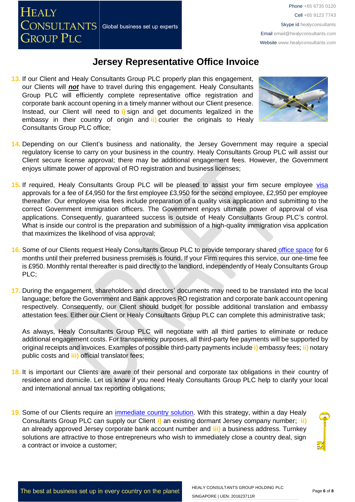**13.** If our Client and Healy Consultants Group PLC properly plan this engagement, our Clients will *not* have to travel during this engagement. Healy Consultants Group PLC will efficiently complete representative office registration and corporate bank account opening in a timely manner without our Client presence. Instead, our Client will need to **i)** sign and get documents legalized in the embassy in their country of origin and **ii)** courier the originals to Healy Consultants Group PLC office;



- **14.** Depending on our Client's business and nationality, the Jersey Government may require a special regulatory license to carry on your business in the country. Healy Consultants Group PLC will assist our Client secure license approval; there may be additional engagement fees. However, the Government enjoys ultimate power of approval of RO registration and business licenses;
- 15. If required, Healy Consultants Group PLC will be pleased to assist your firm secure employee [visa](http://www.healyconsultants.com/jersey-company-registration/formation-support-services/) approvals for a fee of £4,950 for the first employee £3,950 for the second employee, £2,950 per employee thereafter. Our employee visa fees include preparation of a quality visa application and submitting to the correct Government immigration officers. The Government enjoys ultimate power of approval of visa applications. Consequently, guaranteed success is outside of Healy Consultants Group PLC's control. What is inside our control is the preparation and submission of a high-quality immigration visa application that maximizes the likelihood of visa approval;
- **16.** Some of our Clients request Healy Consultants Group PLC to provide temporary shared [office space](http://www.healyconsultants.com/virtual-office/) for 6 months until their preferred business premises is found. If your Firm requires this service, our one-time fee is £950. Monthly rental thereafter is paid directly to the landlord, independently of Healy Consultants Group PLC;
- **17.** During the engagement, shareholders and directors' documents may need to be translated into the local language; before the Government and Bank approves RO registration and corporate bank account opening respectively. Consequently, our Client should budget for possible additional translation and embassy attestation fees. Either our Client or Healy Consultants Group PLC can complete this administrative task;

As always, Healy Consultants Group PLC will negotiate with all third parties to eliminate or reduce additional engagement costs. For transparency purposes, all third-party fee payments will be supported by original receipts and invoices. Examples of possible third-party payments include **i)** embassy fees; **ii)** notary public costs and **iii)** official translator fees;

- **18.** It is important our Clients are aware of their personal and corporate tax obligations in their country of residence and domicile. Let us know if you need Healy Consultants Group PLC help to clarify your local and international annual tax reporting obligations;
- **19.** Some of our Clients require an [immediate country solution.](http://www.healyconsultants.com/turnkey-solutions/) With this strategy, within a day Healy Consultants Group PLC can supply our Client **i)** an existing dormant Jersey company number; **ii)**  an already approved Jersey corporate bank account number and **iii)** a business address. Turnkey solutions are attractive to those entrepreneurs who wish to immediately close a country deal, sign a contract or invoice a customer;

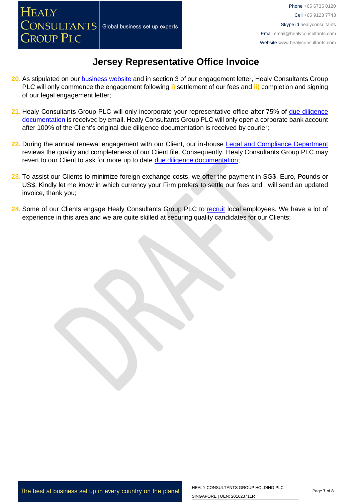- **20.** As stipulated on our **business website** and in section 3 of our engagement letter, Healy Consultants Group PLC will only commence the engagement following **i)** settlement of our fees and **ii)** completion and signing of our legal engagement letter;
- **21.** Healy Consultants Group PLC will only incorporate your representative office after 75% of [due diligence](http://www.healyconsultants.com/due-diligence/)  [documentation](http://www.healyconsultants.com/due-diligence/) is received by email. Healy Consultants Group PLC will only open a corporate bank account after 100% of the Client's original due diligence documentation is received by courier;
- **22.** During the annual renewal engagement with our Client, our in-house [Legal and Compliance Department](http://www.healyconsultants.com/about-us/key-personnel/cai-xin-profile/) reviews the quality and completeness of our Client file. Consequently, Healy Consultants Group PLC may revert to our Client to ask for more up to date [due diligence documentation;](http://www.healyconsultants.com/due-diligence/)
- **23.** To assist our Clients to minimize foreign exchange costs, we offer the payment in SG\$, Euro, Pounds or US\$. Kindly let me know in which currency your Firm prefers to settle our fees and I will send an updated invoice, thank you;
- 24. Some of our Clients engage Healy Consultants Group PLC to [recruit](http://www.healyconsultants.com/corporate-outsourcing-services/how-we-help-our-clients-recruit-quality-employees/) local employees. We have a lot of experience in this area and we are quite skilled at securing quality candidates for our Clients;